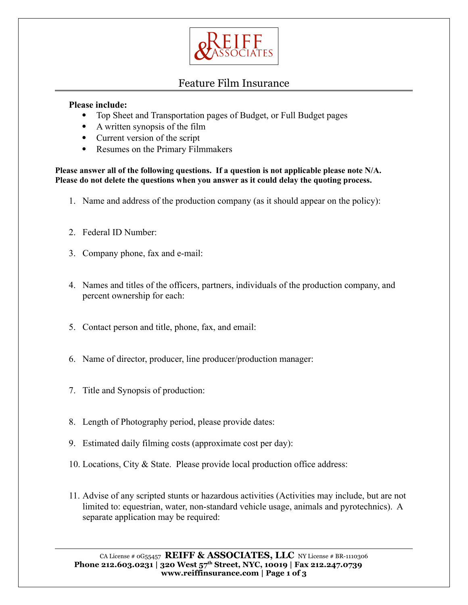

## Feature Film Insurance

## **Please include:**

- Top Sheet and Transportation pages of Budget, or Full Budget pages
- A written synopsis of the film
- Current version of the script
- Resumes on the Primary Filmmakers

**Please answer all of the following questions. If a question is not applicable please note N/A. Please do not delete the questions when you answer as it could delay the quoting process.**

- 1. Name and address of the production company (as it should appear on the policy):
- 2. Federal ID Number:
- 3. Company phone, fax and e-mail:
- 4. Names and titles of the officers, partners, individuals of the production company, and percent ownership for each:
- 5. Contact person and title, phone, fax, and email:
- 6. Name of director, producer, line producer/production manager:
- 7. Title and Synopsis of production:
- 8. Length of Photography period, please provide dates:
- 9. Estimated daily filming costs (approximate cost per day):
- 10. Locations, City & State. Please provide local production office address:
- 11. Advise of any scripted stunts or hazardous activities (Activities may include, but are not limited to: equestrian, water, non-standard vehicle usage, animals and pyrotechnics). A separate application may be required:

CA License # 0G55457 **REIFF & ASSOCIATES, LLC** NY License # BR-1110306 Phone 212.603.0231 | 320 West  $57<sup>th</sup>$  Street, NYC, 10019 | Fax 212.247.0739 **www.reiffinsurance.com | Page 1 of 3**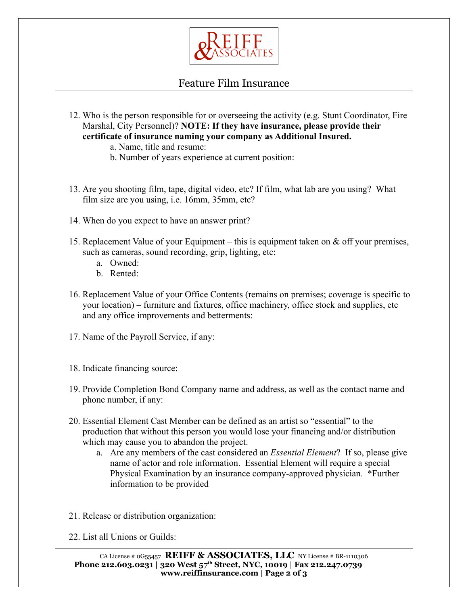

## Feature Film Insurance

- 12. Who is the person responsible for or overseeing the activity (e.g. Stunt Coordinator, Fire Marshal, City Personnel)? **NOTE: If they have insurance, please provide their certificate of insurance naming your company as Additional Insured.**
	- a. Name, title and resume:
	- b. Number of years experience at current position:
- 13. Are you shooting film, tape, digital video, etc? If film, what lab are you using? What film size are you using, i.e. 16mm, 35mm, etc?
- 14. When do you expect to have an answer print?
- 15. Replacement Value of your Equipment this is equipment taken on & off your premises, such as cameras, sound recording, grip, lighting, etc:
	- a. Owned:
	- b. Rented:
- 16. Replacement Value of your Office Contents (remains on premises; coverage is specific to your location) – furniture and fixtures, office machinery, office stock and supplies, etc and any office improvements and betterments:
- 17. Name of the Payroll Service, if any:
- 18. Indicate financing source:
- 19. Provide Completion Bond Company name and address, as well as the contact name and phone number, if any:
- 20. Essential Element Cast Member can be defined as an artist so "essential" to the production that without this person you would lose your financing and/or distribution which may cause you to abandon the project.
	- a. Are any members of the cast considered an *Essential Element*? If so, please give name of actor and role information. Essential Element will require a special Physical Examination by an insurance company-approved physician. \*Further information to be provided
- 21. Release or distribution organization:
- 22. List all Unions or Guilds: